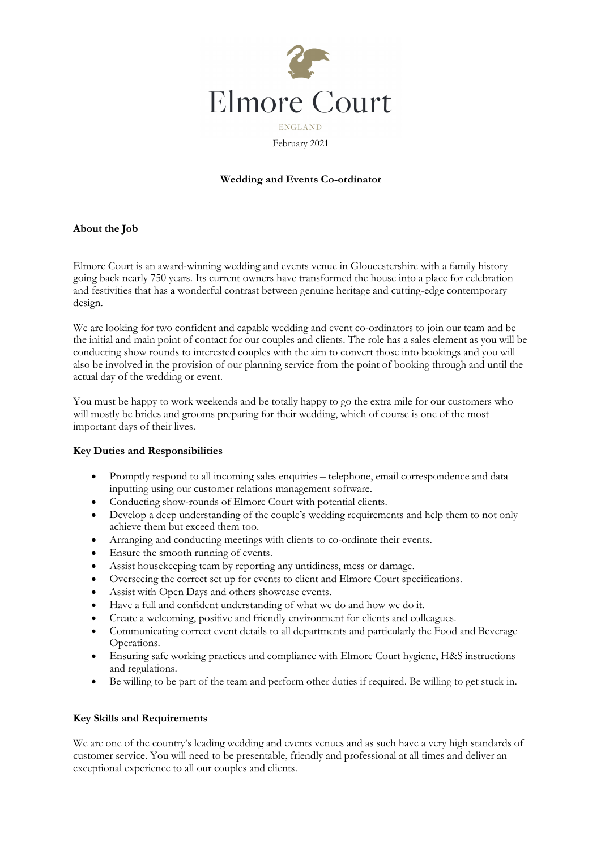

February 2021

### **Wedding and Events Co-ordinator**

### **About the Job**

Elmore Court is an award-winning wedding and events venue in Gloucestershire with a family history going back nearly 750 years. Its current owners have transformed the house into a place for celebration and festivities that has a wonderful contrast between genuine heritage and cutting-edge contemporary design.

We are looking for two confident and capable wedding and event co-ordinators to join our team and be the initial and main point of contact for our couples and clients. The role has a sales element as you will be conducting show rounds to interested couples with the aim to convert those into bookings and you will also be involved in the provision of our planning service from the point of booking through and until the actual day of the wedding or event.

You must be happy to work weekends and be totally happy to go the extra mile for our customers who will mostly be brides and grooms preparing for their wedding, which of course is one of the most important days of their lives.

#### **Key Duties and Responsibilities**

- Promptly respond to all incoming sales enquiries telephone, email correspondence and data inputting using our customer relations management software.
- Conducting show-rounds of Elmore Court with potential clients.
- Develop a deep understanding of the couple's wedding requirements and help them to not only achieve them but exceed them too.
- Arranging and conducting meetings with clients to co-ordinate their events.
- Ensure the smooth running of events.
- Assist housekeeping team by reporting any untidiness, mess or damage.
- Overseeing the correct set up for events to client and Elmore Court specifications.
- Assist with Open Days and others showcase events.
- Have a full and confident understanding of what we do and how we do it.
- Create a welcoming, positive and friendly environment for clients and colleagues.
- Communicating correct event details to all departments and particularly the Food and Beverage Operations.
- Ensuring safe working practices and compliance with Elmore Court hygiene, H&S instructions and regulations.
- Be willing to be part of the team and perform other duties if required. Be willing to get stuck in.

### **Key Skills and Requirements**

We are one of the country's leading wedding and events venues and as such have a very high standards of customer service. You will need to be presentable, friendly and professional at all times and deliver an exceptional experience to all our couples and clients.